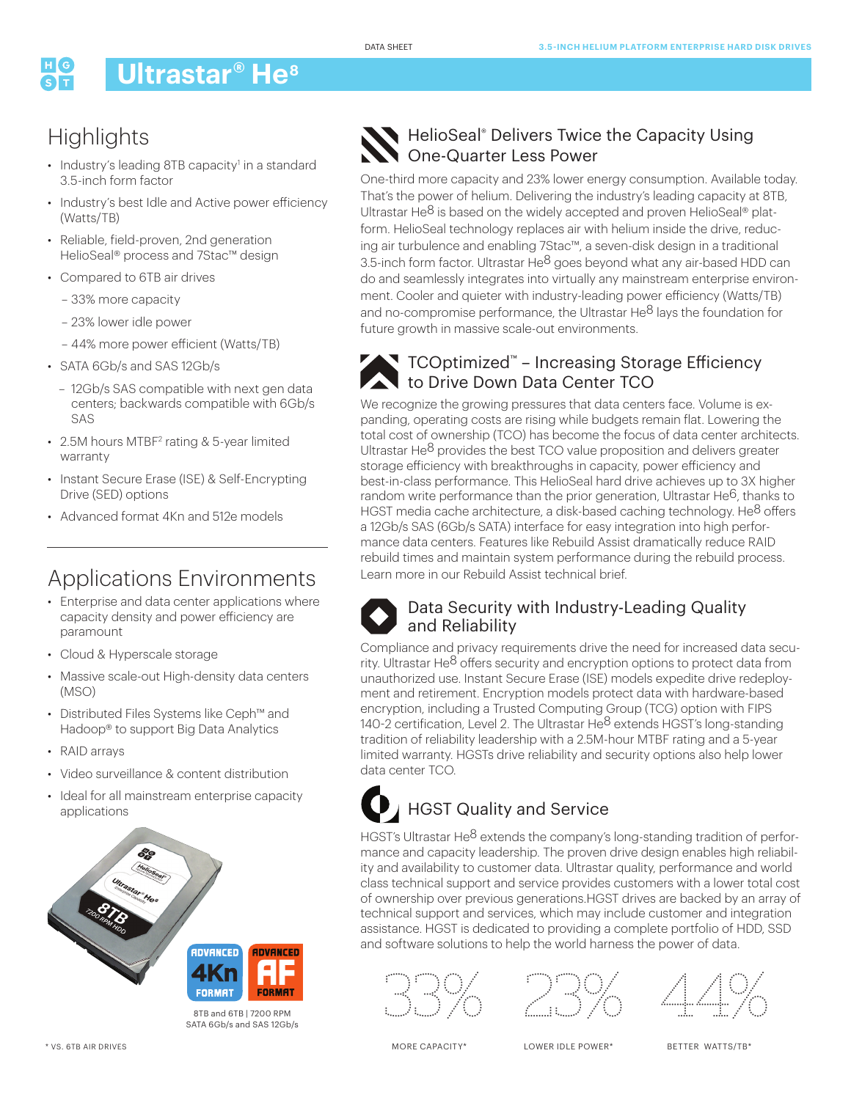# **Ultrastar® He8**

## **Highlights**

- Industry's leading 8TB capacity<sup>1</sup> in a standard 3.5-inch form factor
- Industry's best Idle and Active power efficiency (Watts/TB)
- Reliable, field-proven, 2nd generation HelioSeal® process and 7Stac™ design
- Compared to 6TB air drives
	- 33% more capacity
	- 23% lower idle power
	- 44% more power efficient (Watts/TB)
- SATA 6Gb/s and SAS 12Gb/s
	- 12Gb/s SAS compatible with next gen data centers; backwards compatible with 6Gb/s SAS
- 2.5M hours MTBF<sup>2</sup> rating & 5-year limited warranty
- Instant Secure Erase (ISE) & Self-Encrypting Drive (SED) options
- Advanced format 4Kn and 512e models

## Applications Environments

- Enterprise and data center applications where capacity density and power efficiency are paramount
- Cloud & Hyperscale storage
- Massive scale-out High-density data centers (MSO)
- Distributed Files Systems like Ceph™ and Hadoop® to support Big Data Analytics
- RAID arrays
- Video surveillance & content distribution
- Ideal for all mainstream enterprise capacity applications



8TB and 6TB | 7200 RPM SATA 6Gb/s and SAS 12Gb/s

### HelioSeal® Delivers Twice the Capacity Using One-Quarter Less Power

One-third more capacity and 23% lower energy consumption. Available today. That's the power of helium. Delivering the industry's leading capacity at 8TB, Ultrastar He $^8$  is based on the widely accepted and proven HelioSeal<sup>®</sup> platform. HelioSeal technology replaces air with helium inside the drive, reducing air turbulence and enabling 7Stac™, a seven-disk design in a traditional 3.5-inch form factor. Ultrastar He<sup>8</sup> goes beyond what any air-based HDD can do and seamlessly integrates into virtually any mainstream enterprise environment. Cooler and quieter with industry-leading power efficiency (Watts/TB) and no-compromise performance, the Ultrastar He<sup>8</sup> lays the foundation for future growth in massive scale-out environments.



#### TCOptimized™ – Increasing Storage Efficiency to Drive Down Data Center TCO

We recognize the growing pressures that data centers face. Volume is expanding, operating costs are rising while budgets remain flat. Lowering the total cost of ownership (TCO) has become the focus of data center architects. Ultrastar He8 provides the best TCO value proposition and delivers greater storage efficiency with breakthroughs in capacity, power efficiency and best-in-class performance. This HelioSeal hard drive achieves up to 3X higher random write performance than the prior generation, Ultrastar He $6$ , thanks to HGST media cache architecture, a disk-based caching technology. He<sup>8</sup> offers a 12Gb/s SAS (6Gb/s SATA) interface for easy integration into high performance data centers. Features like Rebuild Assist dramatically reduce RAID rebuild times and maintain system performance during the rebuild process. Learn more in our Rebuild Assist technical brief.



#### Data Security with Industry-Leading Quality and Reliability

Compliance and privacy requirements drive the need for increased data security. Ultrastar He8 offers security and encryption options to protect data from unauthorized use. Instant Secure Erase (ISE) models expedite drive redeployment and retirement. Encryption models protect data with hardware-based encryption, including a Trusted Computing Group (TCG) option with FIPS 140-2 certification, Level 2. The Ultrastar He8 extends HGST's long-standing tradition of reliability leadership with a 2.5M-hour MTBF rating and a 5-year limited warranty. HGSTs drive reliability and security options also help lower data center TCO.

# **D** HGST Quality and Service

HGST's Ultrastar He8 extends the company's long-standing tradition of performance and capacity leadership. The proven drive design enables high reliability and availability to customer data. Ultrastar quality, performance and world class technical support and service provides customers with a lower total cost of ownership over previous generations.HGST drives are backed by an array of technical support and services, which may include customer and integration assistance. HGST is dedicated to providing a complete portfolio of HDD, SSD and software solutions to help the world harness the power of data.





44%

MORE CAPACITY\*

LOWER IDLE POWER\*

BETTER WATTS/TB\*